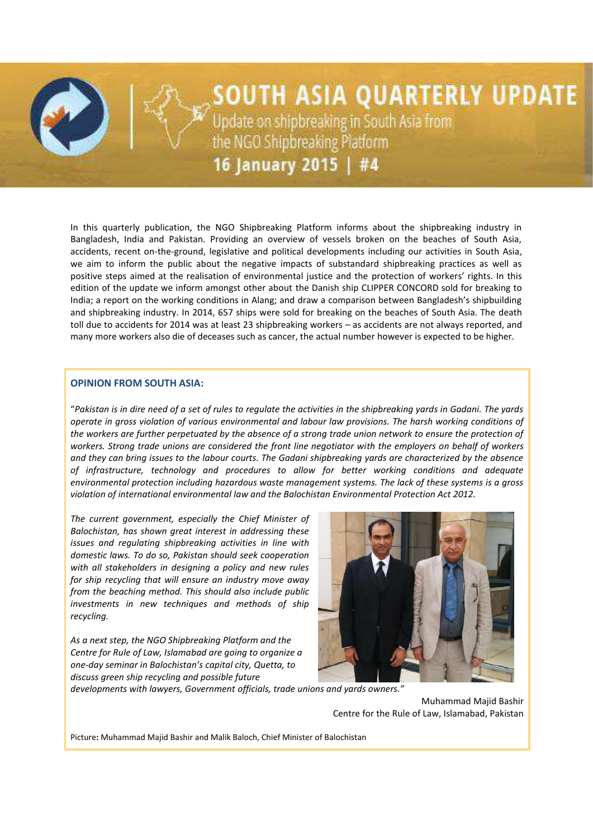

# SOUTH ASIA QUARTERLY UPDATE

Update on shipbreaking in South Asia from<br>the NGO Shipbreaking Platform

16 January 2015 | #4

In this quarterly publication, the NGO Shipbreaking Platform informs about the shipbreaking industry in Bangladesh, India and Pakistan. Providing an overview of vessels broken on the beaches of South Asia, accidents, recent on-the-ground, legislative and political developments including our activities in South Asia, we aim to inform the public about the negative impacts of substandard shipbreaking practices as well as positive steps aimed at the realisation of environmental justice and the protection of workers' rights. In this edition of the update we inform amongst other about the Danish ship CLIPPER CONCORD sold for breaking to India; a report on the working conditions in Alang; and draw a comparison between Bangladesh's shipbuilding and shipbreaking industry. In 2014, 657 ships were sold for breaking on the beaches of South Asia. The death toll due to accidents for 2014 was at least 23 shipbreaking workers – as accidents are not always reported, and many more workers also die of deceases such as cancer, the actual number however is expected to be higher.

# **OPINION FROM SOUTH ASIA:**

"*Pakistan is in dire need of a set of rules to regulate the activities in the shipbreaking yards in Gadani. The yards operate in gross violation of various environmental and labour law provisions. The harsh working conditions of the workers are further perpetuated by the absence of a strong trade union network to ensure the protection of workers. Strong trade unions are considered the front line negotiator with the employers on behalf of workers and they can bring issues to the labour courts. The Gadani shipbreaking yards are characterized by the absence of infrastructure, technology and procedures to allow for better working conditions and adequate environmental protection including hazardous waste management systems. The lack of these systems is a gross violation of international environmental law and the Balochistan Environmental Protection Act 2012.*

*The current government, especially the Chief Minister of Balochistan, has shown great interest in addressing these issues and regulating shipbreaking activities in line with domestic laws. To do so, Pakistan should seek cooperation with all stakeholders in designing a policy and new rules for ship recycling that will ensure an industry move away from the beaching method. This should also include public investments in new techniques and methods of ship recycling.*

*As a next step, the NGO Shipbreaking Platform and the Centre for Rule of Law, Islamabad are going to organize a one-day seminar in Balochistan's capital city, Quetta, to discuss green ship recycling and possible future* 



*developments with lawyers, Government officials, trade unions and yards owners."*

Muhammad Majid Bashir Centre for the Rule of Law, Islamabad, Pakistan

Picture**:** Muhammad Majid Bashir and Malik Baloch, Chief Minister of Balochistan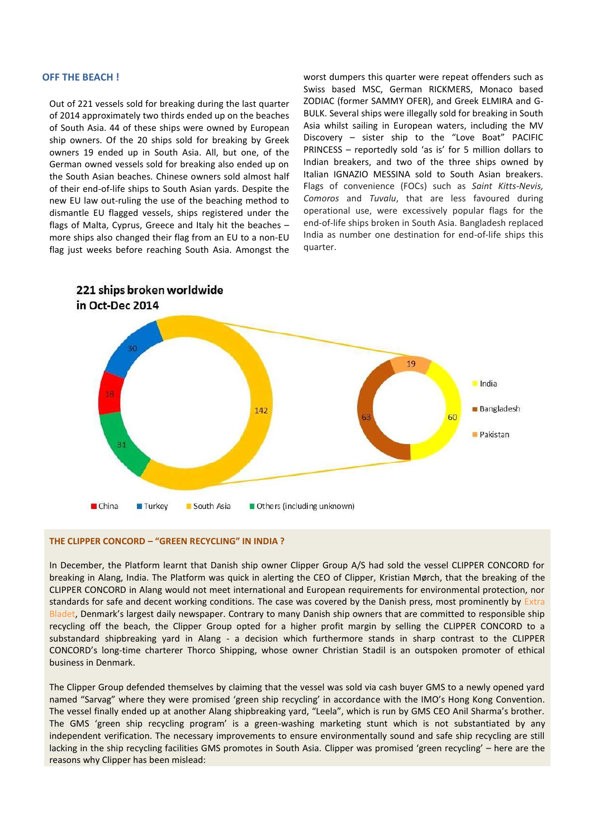#### **OFF THE BEACH !**

Out of 221 vessels sold for breaking during the last quarter of 2014 approximately two thirds ended up on the beaches of South Asia. 44 of these ships were owned by European ship owners. Of the 20 ships sold for breaking by Greek owners 19 ended up in South Asia. All, but one, of the German owned vessels sold for breaking also ended up on the South Asian beaches. Chinese owners sold almost half of their end-of-life ships to South Asian yards. Despite the new EU law out-ruling the use of the beaching method to dismantle EU flagged vessels, ships registered under the flags of Malta, Cyprus, Greece and Italy hit the beaches – more ships also changed their flag from an EU to a non-EU flag just weeks before reaching South Asia. Amongst the

worst dumpers this quarter were repeat offenders such as Swiss based MSC, German RICKMERS, Monaco based ZODIAC (former SAMMY OFER), and Greek ELMIRA and G-BULK. Several ships were illegally sold for breaking in South Asia whilst sailing in European waters, including the MV Discovery – sister ship to the "Love Boat" PACIFIC PRINCESS – reportedly sold 'as is' for 5 million dollars to Indian breakers, and two of the three ships owned by Italian IGNAZIO MESSINA sold to South Asian breakers. Flags of convenience (FOCs) such as *Saint Kitts-Nevis, Comoros* and *Tuvalu*, that are less favoured during operational use, were excessively popular flags for the end-of-life ships broken in South Asia. Bangladesh replaced India as number one destination for end-of-life ships this quarter.



#### **THE CLIPPER CONCORD – "GREEN RECYCLING" IN INDIA ?**

In December, the Platform learnt that Danish ship owner Clipper Group A/S had sold the vessel CLIPPER CONCORD for breaking in Alang, India. The Platform was quick in alerting the CEO of Clipper, Kristian Mørch, that the breaking of the CLIPPER CONCORD in Alang would not meet international and European requirements for environmental protection, nor standards for safe and decent working conditions. The case was covered by the Danish press, most prominently by Extra [Bladet](http://ekstrabladet.dk/nyheder/samfund/dansk-skib-sendt-til-doeds-strand/5361258), Denmark's largest daily newspaper. Contrary to many Danish ship owners that are committed to responsible ship recycling off the beach, the Clipper Group opted for a higher profit margin by selling the CLIPPER CONCORD to a substandard shipbreaking yard in Alang - a decision which furthermore stands in sharp contrast to the CLIPPER CONCORD's long-time charterer Thorco Shipping, whose owner Christian Stadil is an outspoken promoter of ethical business in Denmark.

The Clipper Group defended themselves by claiming that the vessel was sold via cash buyer GMS to a newly opened yard named "Sarvag" where they were promised 'green ship recycling' in accordance with the IMO's Hong Kong Convention. The vessel finally ended up at another Alang shipbreaking yard, "Leela", which is run by GMS CEO Anil Sharma's brother. The GMS 'green ship recycling program' is a green-washing marketing stunt which is not substantiated by any independent verification. The necessary improvements to ensure environmentally sound and safe ship recycling are still lacking in the ship recycling facilities GMS promotes in South Asia. Clipper was promised 'green recycling' – here are the reasons why Clipper has been mislead: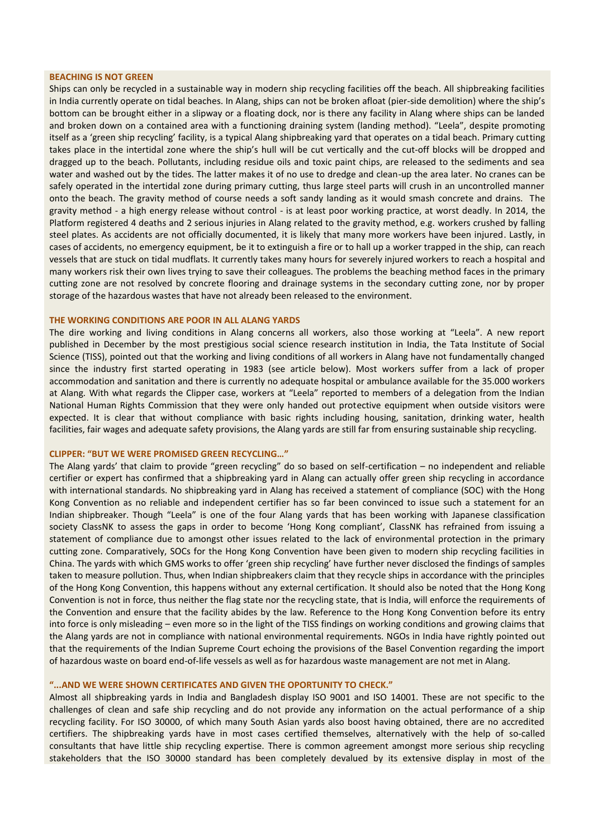## **BEACHING IS NOT GREEN**

Ships can only be recycled in a sustainable way in modern ship recycling facilities off the beach. All shipbreaking facilities in India currently operate on tidal beaches. In Alang, ships can not be broken afloat (pier-side demolition) where the ship's bottom can be brought either in a slipway or a floating dock, nor is there any facility in Alang where ships can be landed and broken down on a contained area with a functioning draining system (landing method). "Leela", despite promoting itself as a 'green ship recycling' facility, is a typical Alang shipbreaking yard that operates on a tidal beach. Primary cutting takes place in the intertidal zone where the ship's hull will be cut vertically and the cut-off blocks will be dropped and dragged up to the beach. Pollutants, including residue oils and toxic paint chips, are released to the sediments and sea water and washed out by the tides. The latter makes it of no use to dredge and clean-up the area later. No cranes can be safely operated in the intertidal zone during primary cutting, thus large steel parts will crush in an uncontrolled manner onto the beach. The gravity method of course needs a soft sandy landing as it would smash concrete and drains. The gravity method - a high energy release without control - is at least poor working practice, at worst deadly. In 2014, the Platform registered 4 deaths and 2 serious injuries in Alang related to the gravity method, e.g. workers crushed by falling steel plates. As accidents are not officially documented, it is likely that many more workers have been injured. Lastly, in cases of accidents, no emergency equipment, be it to extinguish a fire or to hall up a worker trapped in the ship, can reach vessels that are stuck on tidal mudflats. It currently takes many hours for severely injured workers to reach a hospital and many workers risk their own lives trying to save their colleagues. The problems the beaching method faces in the primary cutting zone are not resolved by concrete flooring and drainage systems in the secondary cutting zone, nor by proper storage of the hazardous wastes that have not already been released to the environment.

#### **THE WORKING CONDITIONS ARE POOR IN ALL ALANG YARDS**

The dire working and living conditions in Alang concerns all workers, also those working at "Leela". A new report published in December by the most prestigious social science research institution in India, the Tata Institute of Social Science (TISS), pointed out that the working and living conditions of all workers in Alang have not fundamentally changed since the industry first started operating in 1983 (see article below). Most workers suffer from a lack of proper accommodation and sanitation and there is currently no adequate hospital or ambulance available for the 35.000 workers at Alang*.* With what regards the Clipper case, workers at "Leela" reported to members of a delegation from the Indian National Human Rights Commission that they were only handed out protective equipment when outside visitors were expected. It is clear that without compliance with basic rights including housing, sanitation, drinking water, health facilities, fair wages and adequate safety provisions, the Alang yards are still far from ensuring sustainable ship recycling*.*

## **CLIPPER: "BUT WE WERE PROMISED GREEN RECYCLING…"**

The Alang yards' that claim to provide "green recycling" do so based on self-certification – no independent and reliable certifier or expert has confirmed that a shipbreaking yard in Alang can actually offer green ship recycling in accordance with international standards. No shipbreaking yard in Alang has received a statement of compliance (SOC) with the Hong Kong Convention as no reliable and independent certifier has so far been convinced to issue such a statement for an Indian shipbreaker. Though "Leela" is one of the four Alang yards that has been working with Japanese classification society ClassNK to assess the gaps in order to become 'Hong Kong compliant', ClassNK has refrained from issuing a statement of compliance due to amongst other issues related to the lack of environmental protection in the primary cutting zone. Comparatively, SOCs for the Hong Kong Convention have been given to modern ship recycling facilities in China. The yards with which GMS works to offer 'green ship recycling' have further never disclosed the findings of samples taken to measure pollution. Thus, when Indian shipbreakers claim that they recycle ships in accordance with the principles of the Hong Kong Convention, this happens without any external certification. It should also be noted that the Hong Kong Convention is not in force, thus neither the flag state nor the recycling state, that is India, will enforce the requirements of the Convention and ensure that the facility abides by the law. Reference to the Hong Kong Convention before its entry into force is only misleading – even more so in the light of the TISS findings on working conditions and growing claims that the Alang yards are not in compliance with national environmental requirements. NGOs in India have rightly pointed out that the requirements of the Indian Supreme Court echoing the provisions of the Basel Convention regarding the import of hazardous waste on board end-of-life vessels as well as for hazardous waste management are not met in Alang.

#### **"...AND WE WERE SHOWN CERTIFICATES AND GIVEN THE OPORTUNITY TO CHECK."**

Almost all shipbreaking yards in India and Bangladesh display ISO 9001 and ISO 14001. These are not specific to the challenges of clean and safe ship recycling and do not provide any information on the actual performance of a ship recycling facility. For ISO 30000, of which many South Asian yards also boost having obtained, there are no accredited certifiers. The shipbreaking yards have in most cases certified themselves, alternatively with the help of so-called consultants that have little ship recycling expertise. There is common agreement amongst more serious ship recycling stakeholders that the ISO 30000 standard has been completely devalued by its extensive display in most of the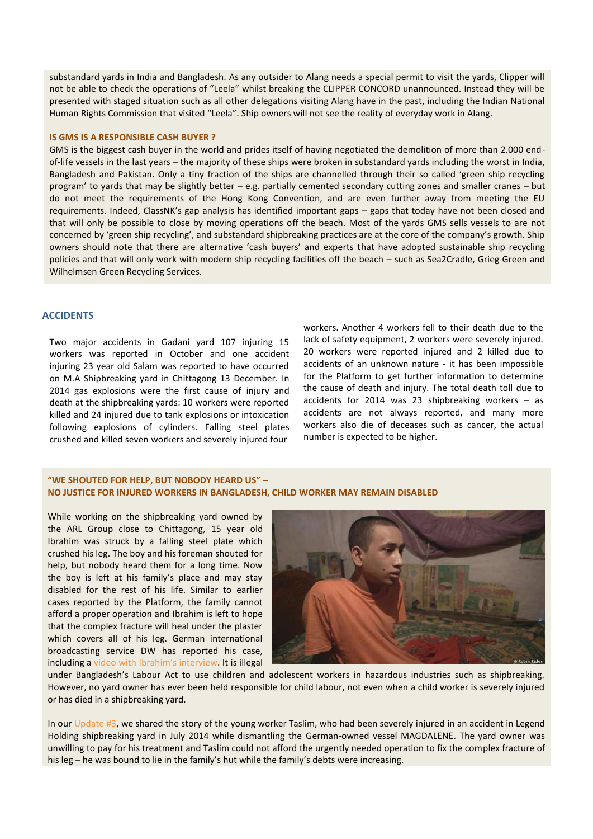substandard yards in India and Bangladesh. As any outsider to Alang needs a special permit to visit the yards, Clipper will not be able to check the operations of "Leela" whilst breaking the CLIPPER CONCORD unannounced. Instead they will be presented with staged situation such as all other delegations visiting Alang have in the past, including the Indian National Human Rights Commission that visited "Leela". Ship owners will not see the reality of everyday work in Alang.

#### **IS GMS IS A RESPONSIBLE CASH BUYER ?**

GMS is the biggest cash buyer in the world and prides itself of having negotiated the demolition of more than 2.000 endof-life vessels in the last years – the majority of these ships were broken in substandard yards including the worst in India, Bangladesh and Pakistan. Only a tiny fraction of the ships are channelled through their so called 'green ship recycling program' to yards that may be slightly better – e.g. partially cemented secondary cutting zones and smaller cranes – but do not meet the requirements of the Hong Kong Convention, and are even further away from meeting the EU requirements. Indeed, ClassNK's gap analysis has identified important gaps – gaps that today have not been closed and that will only be possible to close by moving operations off the beach. Most of the yards GMS sells vessels to are not concerned by 'green ship recycling', and substandard shipbreaking practices are at the core of the company's growth. Ship owners should note that there are alternative 'cash buyers' and experts that have adopted sustainable ship recycling policies and that will only work with modern ship recycling facilities off the beach – such as Sea2Cradle, Grieg Green and Wilhelmsen Green Recycling Services.

#### **ACCIDENTS**

Two major accidents in Gadani yard 107 injuring 15 workers was reported in October and one accident injuring 23 year old Salam was reported to have occurred on M.A Shipbreaking yard in Chittagong 13 December. In 2014 gas explosions were the first cause of injury and death at the shipbreaking yards: 10 workers were reported killed and 24 injured due to tank explosions or intoxication following explosions of cylinders. Falling steel plates crushed and killed seven workers and severely injured four

workers. Another 4 workers fell to their death due to the lack of safety equipment, 2 workers were severely injured. 20 workers were reported injured and 2 killed due to accidents of an unknown nature - it has been impossible for the Platform to get further information to determine the cause of death and injury. The total death toll due to accidents for 2014 was 23 shipbreaking workers – as accidents are not always reported, and many more workers also die of deceases such as cancer, the actual number is expected to be higher.

# **"WE SHOUTED FOR HELP, BUT NOBODY HEARD US" – NO JUSTICE FOR INJURED WORKERS IN BANGLADESH, CHILD WORKER MAY REMAIN DISABLED**

While working on the shipbreaking yard owned by the ARL Group close to Chittagong, 15 year old Ibrahim was struck by a falling steel plate which crushed his leg. The boy and his foreman shouted for help, but nobody heard them for a long time. Now the boy is left at his family's place and may stay disabled for the rest of his life. Similar to earlier cases reported by the Platform, the family cannot afford a proper operation and Ibrahim is left to hope that the complex fracture will heal under the plaster which covers all of his leg. German international broadcasting service DW has reported his case, including a [video with Ibrahim's interview](http://www.dw.de/shipbreaking-accidents-safety/a-18155299). It is illegal



under Bangladesh's Labour Act to use children and adolescent workers in hazardous industries such as shipbreaking. However, no yard owner has ever been held responsible for child labour, not even when a child worker is severely injured or has died in a shipbreaking yard.

In ou[r Update #3,](http://www.shipbreakingplatform.org/shipbrea_wp2011/wp-content/uploads/2014/10/SOUTH-ASIA-QUARTERLY-UPDATE-3.pdf) we shared the story of the young worker Taslim, who had been severely injured in an accident in Legend Holding shipbreaking yard in July 2014 while dismantling the German-owned vessel MAGDALENE. The yard owner was unwilling to pay for his treatment and Taslim could not afford the urgently needed operation to fix the complex fracture of his leg – he was bound to lie in the family's hut while the family's debts were increasing.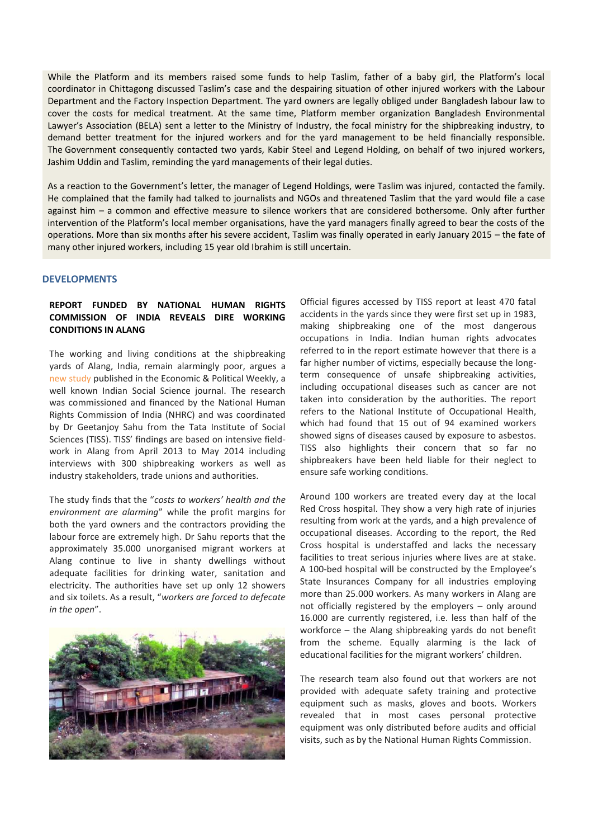While the Platform and its members raised some funds to help Taslim, father of a baby girl, the Platform's local coordinator in Chittagong discussed Taslim's case and the despairing situation of other injured workers with the Labour Department and the Factory Inspection Department. The yard owners are legally obliged under Bangladesh labour law to cover the costs for medical treatment. At the same time, Platform member organization Bangladesh Environmental Lawyer's Association (BELA) sent a letter to the Ministry of Industry, the focal ministry for the shipbreaking industry, to demand better treatment for the injured workers and for the yard management to be held financially responsible. The Government consequently contacted two yards, Kabir Steel and Legend Holding, on behalf of two injured workers, Jashim Uddin and Taslim, reminding the yard managements of their legal duties.

As a reaction to the Government's letter, the manager of Legend Holdings, were Taslim was injured, contacted the family. He complained that the family had talked to journalists and NGOs and threatened Taslim that the yard would file a case against him – a common and effective measure to silence workers that are considered bothersome. Only after further intervention of the Platform's local member organisations, have the yard managers finally agreed to bear the costs of the operations. More than six months after his severe accident, Taslim was finally operated in early January 2015 – the fate of many other injured workers, including 15 year old Ibrahim is still uncertain.

## **DEVELOPMENTS**

## **REPORT FUNDED BY NATIONAL HUMAN RIGHTS COMMISSION OF INDIA REVEALS DIRE WORKING CONDITIONS IN ALANG**

The working and living conditions at the shipbreaking yards of Alang, India, remain alarmingly poor, argues a [new study](http://www.epw.in/special-articles/workers-alang-sosiya.html) published in the Economic & Political Weekly, a well known Indian Social Science journal. The research was commissioned and financed by the National Human Rights Commission of India (NHRC) and was coordinated by Dr Geetanjoy Sahu from the Tata Institute of Social Sciences (TISS). TISS' findings are based on intensive fieldwork in Alang from April 2013 to May 2014 including interviews with 300 shipbreaking workers as well as industry stakeholders, trade unions and authorities.

The study finds that the "*costs to workers' health and the environment are alarming*" while the profit margins for both the yard owners and the contractors providing the labour force are extremely high. Dr Sahu reports that the approximately 35.000 unorganised migrant workers at Alang continue to live in shanty dwellings without adequate facilities for drinking water, sanitation and electricity. The authorities have set up only 12 showers and six toilets. As a result, "*workers are forced to defecate in the open*".



Official figures accessed by TISS report at least 470 fatal accidents in the yards since they were first set up in 1983, making shipbreaking one of the most dangerous occupations in India. Indian human rights advocates referred to in the report estimate however that there is a far higher number of victims, especially because the longterm consequence of unsafe shipbreaking activities, including occupational diseases such as cancer are not taken into consideration by the authorities. The report refers to the National Institute of Occupational Health, which had found that 15 out of 94 examined workers showed signs of diseases caused by exposure to asbestos. TISS also highlights their concern that so far no shipbreakers have been held liable for their neglect to ensure safe working conditions.

Around 100 workers are treated every day at the local Red Cross hospital. They show a very high rate of injuries resulting from work at the yards, and a high prevalence of occupational diseases. According to the report, the Red Cross hospital is understaffed and lacks the necessary facilities to treat serious injuries where lives are at stake. A 100-bed hospital will be constructed by the Employee's State Insurances Company for all industries employing more than 25.000 workers. As many workers in Alang are not officially registered by the employers – only around 16.000 are currently registered, i.e. less than half of the workforce – the Alang shipbreaking yards do not benefit from the scheme. Equally alarming is the lack of educational facilities for the migrant workers' children.

The research team also found out that workers are not provided with adequate safety training and protective equipment such as masks, gloves and boots. Workers revealed that in most cases personal protective equipment was only distributed before audits and official visits, such as by the National Human Rights Commission.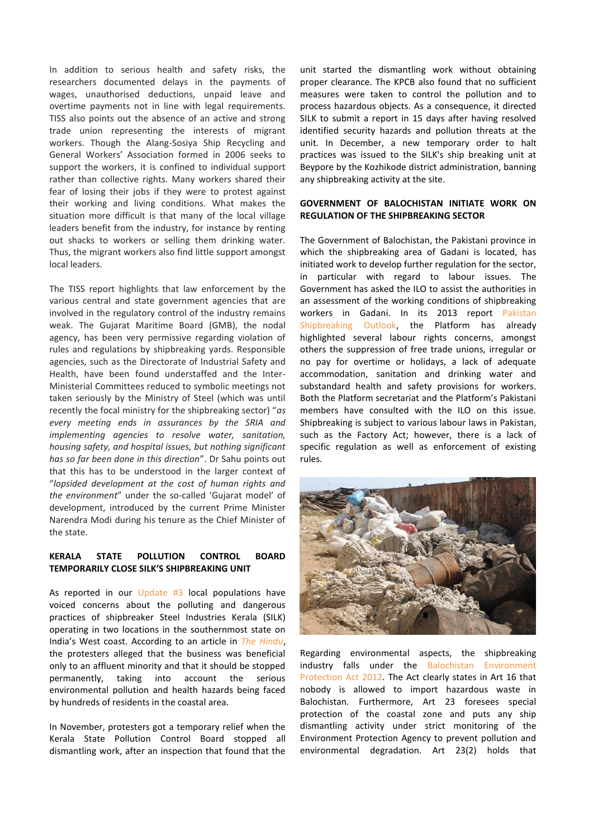In addition to serious health and safety risks, the researchers documented delays in the payments of wages, unauthorised deductions, unpaid leave and overtime payments not in line with legal requirements. TISS also points out the absence of an active and strong trade union representing the interests of migrant workers. Though the Alang-Sosiya Ship Recycling and General Workers' Association formed in 2006 seeks to support the workers, it is confined to individual support rather than collective rights. Many workers shared their fear of losing their jobs if they were to protest against their working and living conditions. What makes the situation more difficult is that many of the local village leaders benefit from the industry, for instance by renting out shacks to workers or selling them drinking water. Thus, the migrant workers also find little support amongst local leaders.

The TISS report highlights that law enforcement by the various central and state government agencies that are involved in the regulatory control of the industry remains weak. The Gujarat Maritime Board (GMB), the nodal agency, has been very permissive regarding violation of rules and regulations by shipbreaking yards. Responsible agencies, such as the Directorate of Industrial Safety and Health, have been found understaffed and the Inter-Ministerial Committees reduced to symbolic meetings not taken seriously by the Ministry of Steel (which was until recently the focal ministry for the shipbreaking sector) "*as every meeting ends in assurances by the SRIA and implementing agencies to resolve water, sanitation, housing safety, and hospital issues, but nothing significant has so far been done in this direction*". Dr Sahu points out that this has to be understood in the larger context of "*lopsided development at the cost of human rights and the environment*" under the so-called 'Gujarat model' of development, introduced by the current Prime Minister Narendra Modi during his tenure as the Chief Minister of the state.

## **KERALA STATE POLLUTION CONTROL BOARD TEMPORARILY CLOSE SILK'S SHIPBREAKING UNIT**

As reported in our Update  $#3$  local populations have voiced concerns about the polluting and dangerous practices of shipbreaker Steel Industries Kerala (SILK) operating in two locations in the southernmost state on India's West coast. According to an article in *[The Hindu](http://www.thehindu.com/news/cities/kozhikode/close-down-shipbreaking-unit-action-panel/article6648442.ece)*, the protesters alleged that the business was beneficial only to an affluent minority and that it should be stopped permanently, taking into account the serious environmental pollution and health hazards being faced by hundreds of residents in the coastal area.

In November, protesters got a temporary relief when the Kerala State Pollution Control Board stopped all dismantling work, after an inspection that found that the

unit started the dismantling work without obtaining proper clearance. The KPCB also found that no sufficient measures were taken to control the pollution and to process hazardous objects. As a consequence, it directed SILK to submit a report in 15 days after having resolved identified security hazards and pollution threats at the unit. In December, a new temporary order to halt practices was issued to the SILK's ship breaking unit at Beypore by the Kozhikode district administration, banning any shipbreaking activity at the site.

## **GOVERNMENT OF BALOCHISTAN INITIATE WORK ON REGULATION OF THE SHIPBREAKING SECTOR**

The Government of Balochistan, the Pakistani province in which the shipbreaking area of Gadani is located, has initiated work to develop further regulation for the sector, in particular with regard to labour issues. The Government has asked the ILO to assist the authorities in an assessment of the working conditions of shipbreaking workers in Gadani. In its 2013 report Pakistan [Shipbreaking Outlook,](http://www.shipbreakingplatform.org/ngo-shipbreaking-platformsdpi-report-pakistan-shipbreaking-outlook-2nd-version-2014/) the Platform has already highlighted several labour rights concerns, amongst others the suppression of free trade unions, irregular or no pay for overtime or holidays, a lack of adequate accommodation, sanitation and drinking water and substandard health and safety provisions for workers. Both the Platform secretariat and the Platform's Pakistani members have consulted with the ILO on this issue. Shipbreaking is subject to various labour laws in Pakistan, such as the Factory Act; however, there is a lack of specific regulation as well as enforcement of existing rules.



Regarding environmental aspects, the shipbreaking industry falls under the [Balochistan Environment](http://www.elaw.org/node/8255)  [Protection Act 2012.](http://www.elaw.org/node/8255) The Act clearly states in Art 16 that nobody is allowed to import hazardous waste in Balochistan. Furthermore, Art 23 foresees special protection of the coastal zone and puts any ship dismantling activity under strict monitoring of the Environment Protection Agency to prevent pollution and environmental degradation. Art 23(2) holds that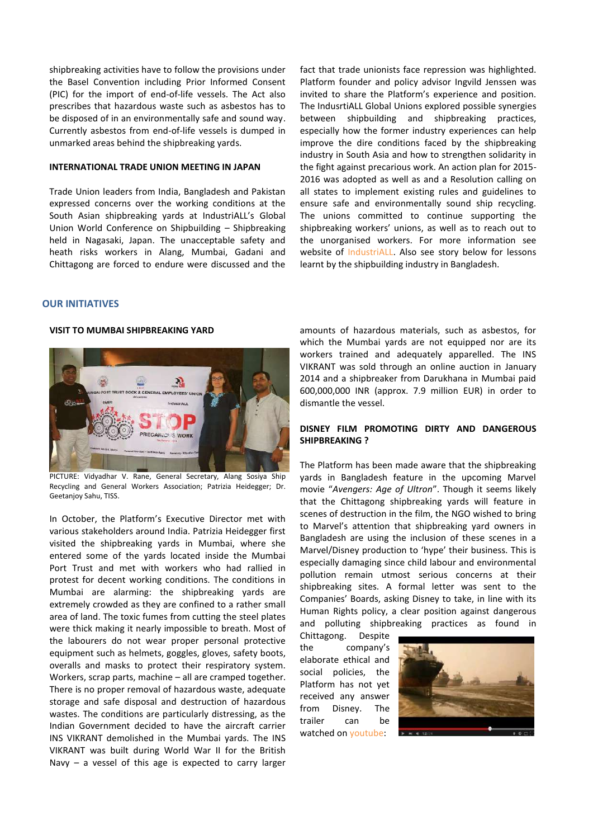shipbreaking activities have to follow the provisions under the Basel Convention including Prior Informed Consent (PIC) for the import of end-of-life vessels. The Act also prescribes that hazardous waste such as asbestos has to be disposed of in an environmentally safe and sound way. Currently asbestos from end-of-life vessels is dumped in unmarked areas behind the shipbreaking yards.

#### **INTERNATIONAL TRADE UNION MEETING IN JAPAN**

Trade Union leaders from India, Bangladesh and Pakistan expressed concerns over the working conditions at the South Asian shipbreaking yards at IndustriALL's Global Union World Conference on Shipbuilding – Shipbreaking held in Nagasaki, Japan. The unacceptable safety and heath risks workers in Alang, Mumbai, Gadani and Chittagong are forced to endure were discussed and the fact that trade unionists face repression was highlighted. Platform founder and policy advisor Ingvild Jenssen was invited to share the Platform's experience and position. The IndusrtiALL Global Unions explored possible synergies between shipbuilding and shipbreaking practices, especially how the former industry experiences can help improve the dire conditions faced by the shipbreaking industry in South Asia and how to strengthen solidarity in the fight against precarious work. An action plan for 2015- 2016 was adopted as well as and a Resolution calling on all states to implement existing rules and guidelines to ensure safe and environmentally sound ship recycling. The unions committed to continue supporting the shipbreaking workers' unions, as well as to reach out to the unorganised workers. For more information see website of [IndustriALL.](http://www.industriall-union.org/events/industriall-world-conference-on-shipbuilding-shipbreaking) Also see story below for lessons learnt by the shipbuilding industry in Bangladesh.

#### **OUR INITIATIVES**

#### **VISIT TO MUMBAI SHIPBREAKING YARD**



PICTURE: Vidyadhar V. Rane, General Secretary, Alang Sosiya Ship Recycling and General Workers Association; Patrizia Heidegger; Dr. Geetanjoy Sahu, TISS.

In October, the Platform's Executive Director met with various stakeholders around India. Patrizia Heidegger first visited the shipbreaking yards in Mumbai, where she entered some of the yards located inside the Mumbai Port Trust and met with workers who had rallied in protest for decent working conditions. The conditions in Mumbai are alarming: the shipbreaking yards are extremely crowded as they are confined to a rather small area of land. The toxic fumes from cutting the steel plates were thick making it nearly impossible to breath. Most of the labourers do not wear proper personal protective equipment such as helmets, goggles, gloves, safety boots, overalls and masks to protect their respiratory system. Workers, scrap parts, machine – all are cramped together. There is no proper removal of hazardous waste, adequate storage and safe disposal and destruction of hazardous wastes. The conditions are particularly distressing, as the Indian Government decided to have the aircraft carrier INS VIKRANT demolished in the Mumbai yards. The INS VIKRANT was built during World War II for the British Navy – a vessel of this age is expected to carry larger

amounts of hazardous materials, such as asbestos, for which the Mumbai yards are not equipped nor are its workers trained and adequately apparelled. The INS VIKRANT was sold through an online auction in January 2014 and a shipbreaker from Darukhana in Mumbai paid 600,000,000 INR (approx. 7.9 million EUR) in order to dismantle the vessel.

#### **DISNEY FILM PROMOTING DIRTY AND DANGEROUS SHIPBREAKING ?**

The Platform has been made aware that the shipbreaking yards in Bangladesh feature in the upcoming Marvel movie "*Avengers: Age of Ultron*". Though it seems likely that the Chittagong shipbreaking yards will feature in scenes of destruction in the film, the NGO wished to bring to Marvel's attention that shipbreaking yard owners in Bangladesh are using the inclusion of these scenes in a Marvel/Disney production to 'hype' their business. This is especially damaging since child labour and environmental pollution remain utmost serious concerns at their shipbreaking sites. A formal letter was sent to the Companies' Boards, asking Disney to take, in line with its Human Rights policy, a clear position against dangerous and polluting shipbreaking practices as found in

Chittagong. Despite the company's elaborate ethical and social policies, the Platform has not yet received any answer from Disney. The trailer can be watched on [youtube:](https://www.youtube.com/watch?v=tmeOjFno6Do)